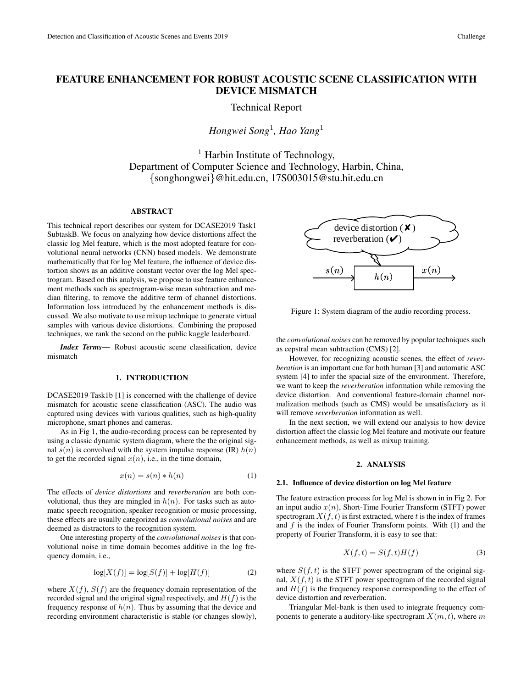# FEATURE ENHANCEMENT FOR ROBUST ACOUSTIC SCENE CLASSIFICATION WITH DEVICE MISMATCH

Technical Report

*Hongwei Song*<sup>1</sup> *, Hao Yang*<sup>1</sup>

 $<sup>1</sup>$  Harbin Institute of Technology,</sup> Department of Computer Science and Technology, Harbin, China, {songhongwei}@hit.edu.cn, 17S003015@stu.hit.edu.cn

## ABSTRACT

This technical report describes our system for DCASE2019 Task1 SubtaskB. We focus on analyzing how device distortions affect the classic log Mel feature, which is the most adopted feature for convolutional neural networks (CNN) based models. We demonstrate mathematically that for log Mel feature, the influence of device distortion shows as an additive constant vector over the log Mel spectrogram. Based on this analysis, we propose to use feature enhancement methods such as spectrogram-wise mean subtraction and median filtering, to remove the additive term of channel distortions. Information loss introduced by the enhancement methods is discussed. We also motivate to use mixup technique to generate virtual samples with various device distortions. Combining the proposed techniques, we rank the second on the public kaggle leaderboard.

*Index Terms*— Robust acoustic scene classification, device mismatch

## 1. INTRODUCTION

DCASE2019 Task1b [1] is concerned with the challenge of device mismatch for acoustic scene classification (ASC). The audio was captured using devices with various qualities, such as high-quality microphone, smart phones and cameras.

As in Fig 1, the audio-recording process can be represented by using a classic dynamic system diagram, where the the original signal  $s(n)$  is convolved with the system impulse response (IR)  $h(n)$ to get the recorded signal  $x(n)$ , i.e., in the time domain,

$$
x(n) = s(n) * h(n)
$$
 (1)

The effects of *device distortions* and *reverberation* are both convolutional, thus they are mingled in  $h(n)$ . For tasks such as automatic speech recognition, speaker recognition or music processing, these effects are usually categorized as *convolutional noises* and are deemed as distractors to the recognition system.

One interesting property of the *convolutional noises* is that convolutional noise in time domain becomes additive in the log frequency domain, i.e.,

$$
\log[X(f)] = \log[S(f)] + \log[H(f)] \tag{2}
$$

where  $X(f)$ ,  $S(f)$  are the frequency domain representation of the recorded signal and the original signal respectively, and  $H(f)$  is the frequency response of  $h(n)$ . Thus by assuming that the device and recording environment characteristic is stable (or changes slowly),



Figure 1: System diagram of the audio recording process.

the *convolutional noises* can be removed by popular techniques such as cepstral mean subtraction (CMS) [2].

However, for recognizing acoustic scenes, the effect of *reverberation* is an important cue for both human [3] and automatic ASC system [4] to infer the spacial size of the environment. Therefore, we want to keep the *reverberation* information while removing the device distortion. And conventional feature-domain channel normalization methods (such as CMS) would be unsatisfactory as it will remove *reverberation* information as well.

In the next section, we will extend our analysis to how device distortion affect the classic log Mel feature and motivate our feature enhancement methods, as well as mixup training.

### 2. ANALYSIS

#### 2.1. Influence of device distortion on log Mel feature

The feature extraction process for log Mel is shown in in Fig 2. For an input audio  $x(n)$ , Short-Time Fourier Transform (STFT) power spectrogram  $X(f, t)$  is first extracted, where t is the index of frames and  $f$  is the index of Fourier Transform points. With  $(1)$  and the property of Fourier Transform, it is easy to see that:

$$
X(f,t) = S(f,t)H(f)
$$
\n(3)

where  $S(f, t)$  is the STFT power spectrogram of the original signal,  $X(f, t)$  is the STFT power spectrogram of the recorded signal and  $H(f)$  is the frequency response corresponding to the effect of device distortion and reverberation.

Triangular Mel-bank is then used to integrate frequency components to generate a auditory-like spectrogram  $X(m, t)$ , where m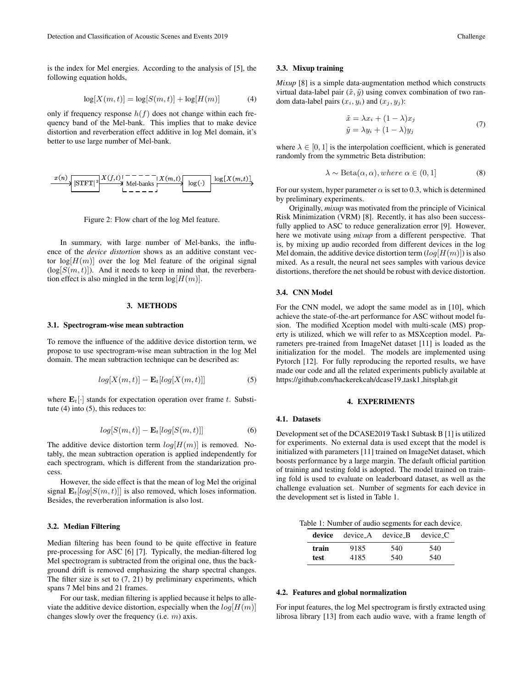is the index for Mel energies. According to the analysis of [5], the following equation holds,

$$
log[X(m, t)] = log[S(m, t)] + log[H(m)] \tag{4}
$$

only if frequency response  $h(f)$  does not change within each frequency band of the Mel-bank. This implies that to make device distortion and reverberation effect additive in log Mel domain, it's better to use large number of Mel-bank.

$$
\xrightarrow{x(n)} \underbrace{\left|\text{STFT}\right|^2} \xrightarrow{X(f,t)} \underbrace{\left|\text{N}} \xrightarrow{N} \text{Mel-banks} \xrightarrow{X(m,t)} \underbrace{\log(x(m,t))}_{\text{log}(x(m,t))}
$$

Figure 2: Flow chart of the log Mel feature.

In summary, with large number of Mel-banks, the influence of the *device distortion* shows as an additive constant vector  $log[H(m)]$  over the log Mel feature of the original signal  $(\log[S(m, t)])$ . And it needs to keep in mind that, the reverberation effect is also mingled in the term  $log[H(m)]$ .

#### 3. METHODS

#### 3.1. Spectrogram-wise mean subtraction

To remove the influence of the additive device distortion term, we propose to use spectrogram-wise mean subtraction in the log Mel domain. The mean subtraction technique can be described as:

$$
log[X(m,t)] - \mathbf{E}_t[log[X(m,t)]] \tag{5}
$$

where  $\mathbf{E}_{t}[\cdot]$  stands for expectation operation over frame t. Substitute (4) into (5), this reduces to:

$$
log[S(m, t)] - \mathbf{E}_t[log[S(m, t)]] \tag{6}
$$

The additive device distortion term  $log[H(m)]$  is removed. Notably, the mean subtraction operation is applied independently for each spectrogram, which is different from the standarization process.

However, the side effect is that the mean of log Mel the original signal  $\mathbf{E}_{t}[log[S(m, t)]]$  is also removed, which loses information. Besides, the reverberation information is also lost.

#### 3.2. Median Filtering

Median filtering has been found to be quite effective in feature pre-processing for ASC [6] [7]. Typically, the median-filtered log Mel spectrogram is subtracted from the original one, thus the background drift is removed emphasizing the sharp spectral changes. The filter size is set to  $(7, 21)$  by preliminary experiments, which spans 7 Mel bins and 21 frames.

For our task, median filtering is applied because it helps to alleviate the additive device distortion, especially when the  $log[H(m)]$ changes slowly over the frequency (i.e. m) axis.

#### 3.3. Mixup training

*Mixup* [8] is a simple data-augmentation method which constructs virtual data-label pair  $(\tilde{x}, \tilde{y})$  using convex combination of two random data-label pairs  $(x_i, y_i)$  and  $(x_j, y_j)$ :

$$
\tilde{x} = \lambda x_i + (1 - \lambda)x_j
$$
  
\n
$$
\tilde{y} = \lambda y_i + (1 - \lambda)y_j
$$
\n(7)

where  $\lambda \in [0, 1]$  is the interpolation coefficient, which is generated randomly from the symmetric Beta distribution:

$$
\lambda \sim \text{Beta}(\alpha, \alpha), where \alpha \in (0, 1]
$$
 (8)

For our system, hyper parameter  $\alpha$  is set to 0.3, which is determined by preliminary experiments.

Originally, *mixup* was motivated from the principle of Vicinical Risk Minimization (VRM) [8]. Recently, it has also been successfully applied to ASC to reduce generalization error [9]. However, here we motivate using *mixup* from a different perspective. That is, by mixing up audio recorded from different devices in the log Mel domain, the additive device distortion term  $(log|H(m)|)$  is also mixed. As a result, the neural net sees samples with various device distortions, therefore the net should be robust with device distortion.

#### 3.4. CNN Model

For the CNN model, we adopt the same model as in [10], which achieve the state-of-the-art performance for ASC without model fusion. The modified Xception model with multi-scale (MS) property is utilized, which we will refer to as MSXception model. Parameters pre-trained from ImageNet dataset [11] is loaded as the initialization for the model. The models are implemented using Pytorch [12]. For fully reproducing the reported results, we have made our code and all the related experiments publicly available at https://github.com/hackerekcah/dcase19\_task1\_hitsplab.git

# 4. EXPERIMENTS

#### 4.1. Datasets

Development set of the DCASE2019 Task1 Subtask B [1] is utilized for experiments. No external data is used except that the model is initialized with parameters [11] trained on ImageNet dataset, which boosts performance by a large margin. The default official partition of training and testing fold is adopted. The model trained on training fold is used to evaluate on leaderboard dataset, as well as the challenge evaluation set. Number of segments for each device in the development set is listed in Table 1.

Table 1: Number of audio segments for each device.

|               | <b>device</b> device A device B device C |            |            |
|---------------|------------------------------------------|------------|------------|
| train<br>test | 9185<br>4185                             | 540<br>540 | 540<br>540 |
|               |                                          |            |            |

#### 4.2. Features and global normalization

For input features, the log Mel spectrogram is firstly extracted using librosa library [13] from each audio wave, with a frame length of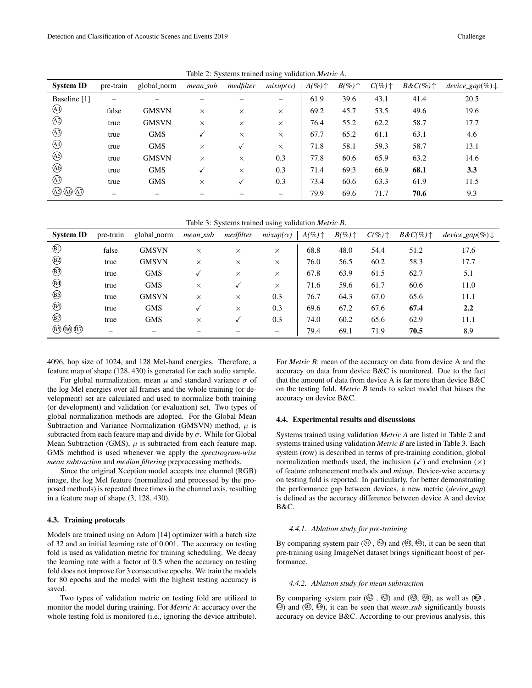| <b>System ID</b> | pre-train | global_norm  | mean_sub | medfilter | $mixup(\alpha)$ | $A(\%) \uparrow$ | $B(\%)\uparrow$ | $C(\%) \uparrow$ | $B\&C(\%)\uparrow$ | $device\_gap(\%) \downarrow$ |
|------------------|-----------|--------------|----------|-----------|-----------------|------------------|-----------------|------------------|--------------------|------------------------------|
| Baseline [1]     |           |              |          |           |                 | 61.9             | 39.6            | 43.1             | 41.4               | 20.5                         |
| $\bigcirc$       | false     | <b>GMSVN</b> | $\times$ | $\times$  | X               | 69.2             | 45.7            | 53.5             | 49.6               | 19.6                         |
| $\bigcirc$       | true      | <b>GMSVN</b> | $\times$ | $\times$  | $\times$        | 76.4             | 55.2            | 62.2             | 58.7               | 17.7                         |
| $\bigcirc$       | true      | <b>GMS</b>   | √        | $\times$  | X               | 67.7             | 65.2            | 61.1             | 63.1               | 4.6                          |
| $\bigcirc$       | true      | <b>GMS</b>   | $\times$ | √         | $\times$        | 71.8             | 58.1            | 59.3             | 58.7               | 13.1                         |
| $\bigcirc$       | true      | <b>GMSVN</b> | $\times$ | $\times$  | 0.3             | 77.8             | 60.6            | 65.9             | 63.2               | 14.6                         |
| $\circledA$      | true      | <b>GMS</b>   |          | X         | 0.3             | 71.4             | 69.3            | 66.9             | 68.1               | 3.3                          |
| $\circled{4}$    | true      | <b>GMS</b>   | $\times$ |           | 0.3             | 73.4             | 60.6            | 63.3             | 61.9               | 11.5                         |
| A5) (A6) (A7)    |           |              |          |           |                 | 79.9             | 69.6            | 71.7             | 70.6               | 9.3                          |

Table 2: Systems trained using validation *Metric A*.

Table 3: Systems trained using validation *Metric B*.

| <b>System ID</b>     | pre-train | global_norm  | mean_sub | medfilter | $mixup(\alpha)$ | $A(\%) \uparrow$ | $B(\%)\uparrow$ | $C(\%) \uparrow$ | $B\&C(\%)\uparrow$ | $device\_gap(\%) \downarrow$ |
|----------------------|-----------|--------------|----------|-----------|-----------------|------------------|-----------------|------------------|--------------------|------------------------------|
| $\circledR$          | false     | <b>GMSVN</b> | $\times$ | $\times$  | $\times$        | 68.8             | 48.0            | 54.4             | 51.2               | 17.6                         |
| $\circledR$          | true      | <b>GMSVN</b> | $\times$ | $\times$  | $\times$        | 76.0             | 56.5            | 60.2             | 58.3               | 17.7                         |
| $\circledR$          | true      | <b>GMS</b>   | √        | $\times$  | $\times$        | 67.8             | 63.9            | 61.5             | 62.7               | 5.1                          |
| $\circledR$          | true      | <b>GMS</b>   | $\times$ | √         | $\times$        | 71.6             | 59.6            | 61.7             | 60.6               | 11.0                         |
| $\circledR$          | true      | <b>GMSVN</b> | $\times$ | $\times$  | 0.3             | 76.7             | 64.3            | 67.0             | 65.6               | 11.1                         |
| $\circledB$          | true      | <b>GMS</b>   |          | $\times$  | 0.3             | 69.6             | 67.2            | 67.6             | 67.4               | 2.2                          |
| $\circledR$          | true      | <b>GMS</b>   | $\times$ |           | 0.3             | 74.0             | 60.2            | 65.6             | 62.9               | 11.1                         |
| $(B5)$ $(B6)$ $(B7)$ | -         | —            |          |           |                 | 79.4             | 69.1            | 71.9             | 70.5               | 8.9                          |

4096, hop size of 1024, and 128 Mel-band energies. Therefore, a feature map of shape (128, 430) is generated for each audio sample.

For global normalization, mean  $\mu$  and standard variance  $\sigma$  of the log Mel energies over all frames and the whole training (or development) set are calculated and used to normalize both training (or development) and validation (or evaluation) set. Two types of global normalization methods are adopted. For the Global Mean Subtraction and Variance Normalization (GMSVN) method,  $\mu$  is subtracted from each feature map and divide by  $\sigma$ . While for Global Mean Subtraction (GMS),  $\mu$  is subtracted from each feature map. GMS mehthod is used whenever we apply the *spectrogram-wise mean subtraction* and *median filtering* preprocessing methods.

Since the original Xception model accepts tree channel (RGB) image, the log Mel feature (normalized and processed by the proposed methods) is repeated three times in the channel axis, resulting in a feature map of shape (3, 128, 430).

#### 4.3. Training protocals

Models are trained using an Adam [14] optimizer with a batch size of 32 and an initial learning rate of 0.001. The accuracy on testing fold is used as validation metric for training scheduling. We decay the learning rate with a factor of 0.5 when the accuracy on testing fold does not improve for 3 consecutive epochs. We train the models for 80 epochs and the model with the highest testing accuracy is saved.

Two types of validation metric on testing fold are utilized to monitor the model during training. For *Metric A*: accuracy over the whole testing fold is monitored (i.e., ignoring the device attribute). For *Metric B*: mean of the accuracy on data from device A and the accuracy on data from device B&C is monitored. Due to the fact that the amount of data from device A is far more than device B&C on the testing fold, *Metric B* tends to select model that biases the accuracy on device B&C.

# 4.4. Experimental results and discussions

Systems trained using validation *Metric A* are listed in Table 2 and systems trained using validation *Metric B* are listed in Table 3. Each system (row) is described in terms of pre-training condition, global normalization methods used, the inclusion  $(\checkmark)$  and exclusion  $(\checkmark)$ of feature enhancement methods and *mixup*. Device-wise accuracy on testing fold is reported. In particularly, for better demonstrating the performance gap between devices, a new metric (*device gap*) is defined as the accuracy difference between device A and device B&C.

#### *4.4.1. Ablation study for pre-training*

By comparing system pair  $(\mathcal{A})$ ,  $(\mathcal{A})$  and  $(\mathcal{A})$ ,  $(\mathcal{B})$ , it can be seen that pre-training using ImageNet dataset brings significant boost of performance.

#### *4.4.2. Ablation study for mean subtraction*

By comparing system pair  $(\mathcal{A}^3, \mathcal{A}^3)$  and  $(\mathcal{A}^3, \mathcal{A}^3)$ , as well as  $(\mathcal{B}^3, \mathcal{A}^3)$ B3 ) and (B5 , B6 ), it can be seen that *mean sub* significantly boosts accuracy on device B&C. According to our previous analysis, this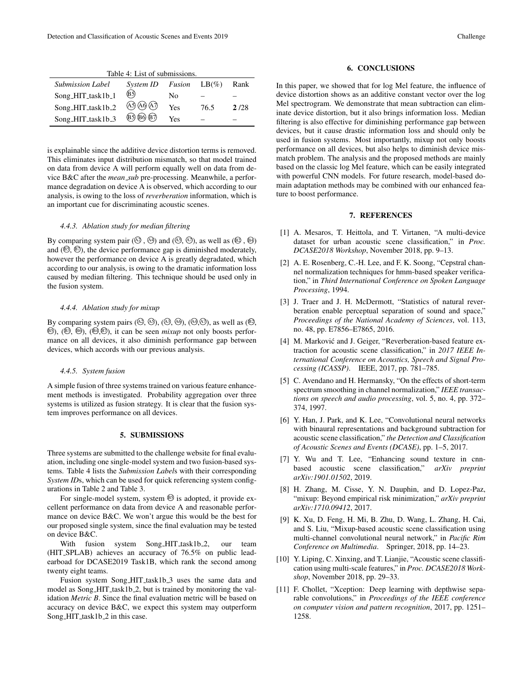| Table 4: List of submissions. |                                                       |     |      |      |  |  |  |  |
|-------------------------------|-------------------------------------------------------|-----|------|------|--|--|--|--|
| <b>Submission Label</b>       | System ID Fusion $LB(\%)$                             |     |      | Rank |  |  |  |  |
| Song_HIT_task1b_1             | $\circledR$                                           | Nο  |      |      |  |  |  |  |
| Song_HIT_task1b_2             | $\overline{(A5)}$ $\overline{(A6)}$ $\overline{(A7)}$ | Yes | 76.5 | 2/28 |  |  |  |  |
| Song_HIT_task1b_3             | $(B)$ $(B)$ $(B)$                                     | Yes |      |      |  |  |  |  |

is explainable since the additive device distortion terms is removed. This eliminates input distribution mismatch, so that model trained on data from device A will perform equally well on data from device B&C after the *mean sub* pre-processing. Meanwhile, a performance degradation on device A is observed, which according to our analysis, is owing to the loss of *reverberation* information, which is an important cue for discriminating acoustic scenes.

#### *4.4.3. Ablation study for median filtering*

By comparing system pair  $(\mathcal{Q}, \mathcal{Q})$  and  $(\mathcal{Q}, \mathcal{Q})$ , as well as  $(\mathcal{Q}, \mathcal{Q})$ and  $(\mathfrak{B}, \mathfrak{B})$ , the device performance gap is diminished moderately, however the performance on device A is greatly degradated, which according to our analysis, is owing to the dramatic information loss caused by median filtering. This technique should be used only in the fusion system.

#### *4.4.4. Ablation study for mixup*

By comparing system pairs  $(\mathcal{A}, \mathcal{A}), (\mathcal{A}, \mathcal{A}), (\mathcal{A}, \mathcal{A}),$  as well as  $(\mathcal{A}, \mathcal{A})$  $\mathbb{B}$ ),  $(\mathbb{B}, \mathbb{B})$ ,  $(\mathbb{H}, \mathbb{B})$ , it can be seen *mixup* not only boosts performance on all devices, it also diminish performance gap between devices, which accords with our previous analysis.

# *4.4.5. System fusion*

A simple fusion of three systems trained on various feature enhancement methods is investigated. Probability aggregation over three systems is utilized as fusion strategy. It is clear that the fusion system improves performance on all devices.

#### 5. SUBMISSIONS

Three systems are submitted to the challenge website for final evaluation, including one single-model system and two fusion-based systems. Table 4 lists the *Submission Label*s with their corresponding *System IDs*, which can be used for quick referencing system configurations in Table 2 and Table 3.

For single-model system, system  $\circledS$  is adopted, it provide excellent performance on data from device A and reasonable performance on device B&C. We won't argue this would be the best for our proposed single system, since the final evaluation may be tested on device B&C.

With fusion system Song\_HIT\_task1b\_2, our team (HIT SPLAB) achieves an accuracy of 76.5% on public leadearboad for DCASE2019 Task1B, which rank the second among twenty eight teams.

Fusion system Song\_HIT\_task1b\_3 uses the same data and model as Song\_HIT\_task1b\_2, but is trained by monitoring the validation *Metric B*. Since the final evaluation metric will be based on accuracy on device B&C, we expect this system may outperform Song\_HIT\_task1b\_2 in this case.

In this paper, we showed that for log Mel feature, the influence of device distortion shows as an additive constant vector over the log Mel spectrogram. We demonstrate that mean subtraction can eliminate device distortion, but it also brings information loss. Median filtering is also effective for diminishing performance gap between devices, but it cause drastic information loss and should only be used in fusion systems. Most importantly, mixup not only boosts performance on all devices, but also helps to diminish device mismatch problem. The analysis and the proposed methods are mainly based on the classic log Mel feature, which can be easily integrated with powerful CNN models. For future research, model-based domain adaptation methods may be combined with our enhanced feature to boost performance.

# 7. REFERENCES

- [1] A. Mesaros, T. Heittola, and T. Virtanen, "A multi-device dataset for urban acoustic scene classification," in *Proc. DCASE2018 Workshop*, November 2018, pp. 9–13.
- [2] A. E. Rosenberg, C.-H. Lee, and F. K. Soong, "Cepstral channel normalization techniques for hmm-based speaker verification," in *Third International Conference on Spoken Language Processing*, 1994.
- [3] J. Traer and J. H. McDermott, "Statistics of natural reverberation enable perceptual separation of sound and space," *Proceedings of the National Academy of Sciences*, vol. 113, no. 48, pp. E7856–E7865, 2016.
- [4] M. Marković and J. Geiger, "Reverberation-based feature extraction for acoustic scene classification," in *2017 IEEE International Conference on Acoustics, Speech and Signal Processing (ICASSP)*. IEEE, 2017, pp. 781–785.
- [5] C. Avendano and H. Hermansky, "On the effects of short-term spectrum smoothing in channel normalization," *IEEE transactions on speech and audio processing*, vol. 5, no. 4, pp. 372– 374, 1997.
- [6] Y. Han, J. Park, and K. Lee, "Convolutional neural networks with binaural representations and background subtraction for acoustic scene classification," *the Detection and Classification of Acoustic Scenes and Events (DCASE)*, pp. 1–5, 2017.
- [7] Y. Wu and T. Lee, "Enhancing sound texture in cnnbased acoustic scene classification," *arXiv preprint arXiv:1901.01502*, 2019.
- [8] H. Zhang, M. Cisse, Y. N. Dauphin, and D. Lopez-Paz, "mixup: Beyond empirical risk minimization," *arXiv preprint arXiv:1710.09412*, 2017.
- [9] K. Xu, D. Feng, H. Mi, B. Zhu, D. Wang, L. Zhang, H. Cai, and S. Liu, "Mixup-based acoustic scene classification using multi-channel convolutional neural network," in *Pacific Rim Conference on Multimedia*. Springer, 2018, pp. 14–23.
- [10] Y. Liping, C. Xinxing, and T. Lianjie, "Acoustic scene classification using multi-scale features," in *Proc. DCASE2018 Workshop*, November 2018, pp. 29–33.
- [11] F. Chollet, "Xception: Deep learning with depthwise separable convolutions," in *Proceedings of the IEEE conference on computer vision and pattern recognition*, 2017, pp. 1251– 1258.